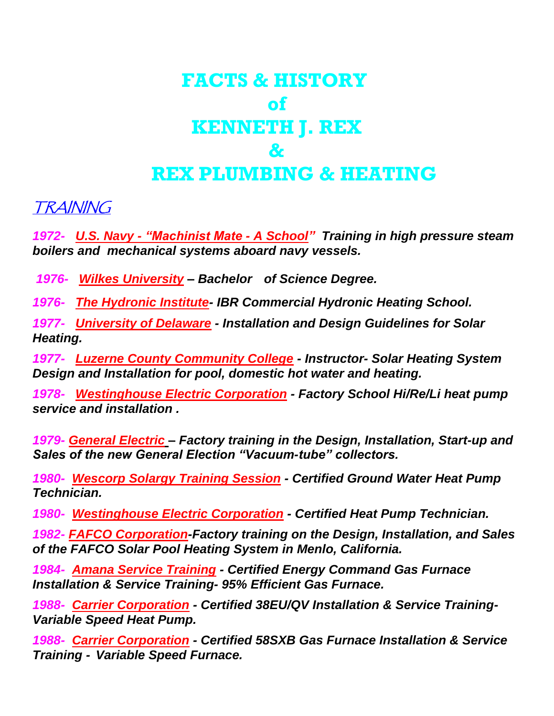# **FACTS & HISTORY of KENNETH J. REX & REX PLUMBING & HEATING**

TRAINING

*1972- U.S. Navy - "Machinist Mate - A School" Training in high pressure steam boilers and mechanical systems aboard navy vessels.*

*1976- Wilkes University – Bachelor of Science Degree.*

*1976- The Hydronic Institute- IBR Commercial Hydronic Heating School.*

*1977- University of Delaware - Installation and Design Guidelines for Solar Heating.*

*1977- Luzerne County Community College - Instructor- Solar Heating System Design and Installation for pool, domestic hot water and heating.*

*1978- Westinghouse Electric Corporation - Factory School Hi/Re/Li heat pump service and installation .*

*1979- General Electric – Factory training in the Design, Installation, Start-up and Sales of the new General Election "Vacuum-tube" collectors.*

*1980- Wescorp Solargy Training Session - Certified Ground Water Heat Pump Technician.*

*1980- Westinghouse Electric Corporation - Certified Heat Pump Technician.*

*1982- FAFCO Corporation-Factory training on the Design, Installation, and Sales of the FAFCO Solar Pool Heating System in Menlo, California.*

*1984- Amana Service Training - Certified Energy Command Gas Furnace Installation & Service Training- 95% Efficient Gas Furnace.*

*1988- Carrier Corporation - Certified 38EU/QV Installation & Service Training-Variable Speed Heat Pump.*

*1988- Carrier Corporation - Certified 58SXB Gas Furnace Installation & Service Training - Variable Speed Furnace.*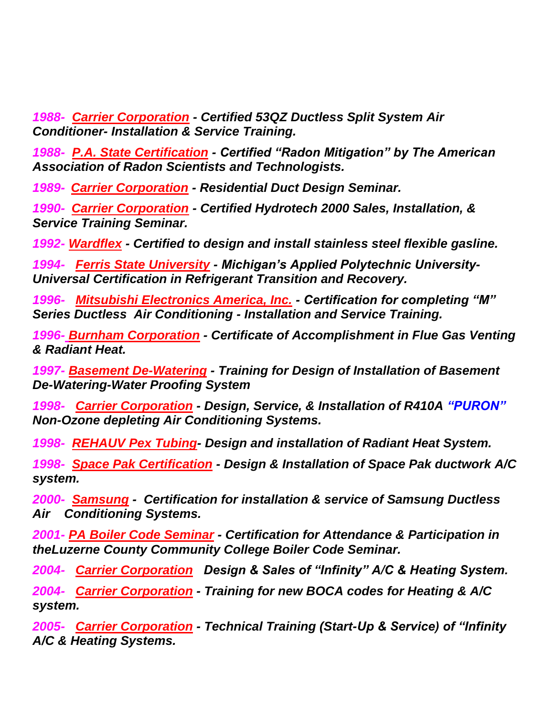*1988- Carrier Corporation - Certified 53QZ Ductless Split System Air Conditioner- Installation & Service Training.*

*1988- P.A. State Certification - Certified "Radon Mitigation" by The American Association of Radon Scientists and Technologists.*

*1989- Carrier Corporation - Residential Duct Design Seminar.*

*1990- Carrier Corporation - Certified Hydrotech 2000 Sales, Installation, & Service Training Seminar.*

*1992- Wardflex - Certified to design and install stainless steel flexible gasline.*

*1994- Ferris State University - Michigan's Applied Polytechnic University-Universal Certification in Refrigerant Transition and Recovery.*

*1996- Mitsubishi Electronics America, Inc. - Certification for completing "M" Series Ductless Air Conditioning - Installation and Service Training.*

*1996- Burnham Corporation - Certificate of Accomplishment in Flue Gas Venting & Radiant Heat.*

*1997- Basement De-Watering - Training for Design of Installation of Basement De-Watering-Water Proofing System*

*1998- Carrier Corporation - Design, Service, & Installation of R410A "PURON" Non-Ozone depleting Air Conditioning Systems.*

*1998- REHAUV Pex Tubing- Design and installation of Radiant Heat System.*

*1998- Space Pak Certification - Design & Installation of Space Pak ductwork A/C system.*

*2000- Samsung - Certification for installation & service of Samsung Ductless Air Conditioning Systems.*

*2001- PA Boiler Code Seminar - Certification for Attendance & Participation in theLuzerne County Community College Boiler Code Seminar.*

*2004- Carrier Corporation Design & Sales of "Infinity" A/C & Heating System.*

*2004- Carrier Corporation - Training for new BOCA codes for Heating & A/C system.*

*2005- Carrier Corporation - Technical Training (Start-Up & Service) of "Infinity A/C & Heating Systems.*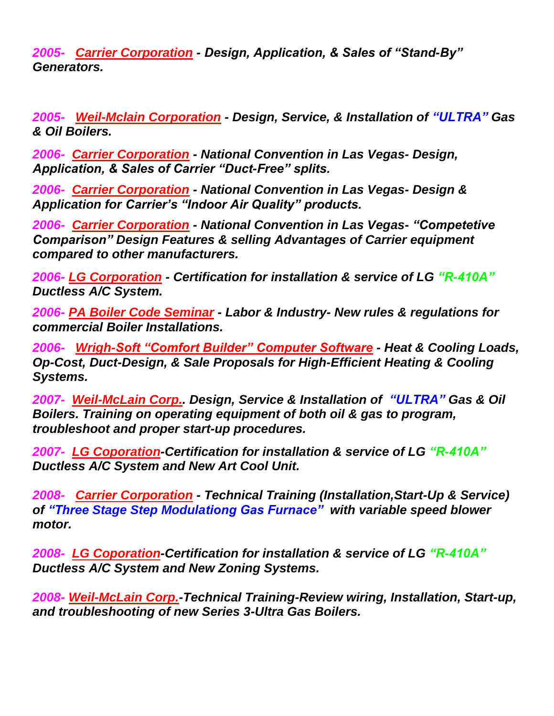*2005- Carrier Corporation - Design, Application, & Sales of "Stand-By" Generators.*

*2005- Weil-Mclain Corporation - Design, Service, & Installation of "ULTRA" Gas & Oil Boilers.* 

*2006- Carrier Corporation - National Convention in Las Vegas- Design, Application, & Sales of Carrier "Duct-Free" splits.*

*2006- Carrier Corporation - National Convention in Las Vegas- Design & Application for Carrier's "Indoor Air Quality" products.*

*2006- Carrier Corporation - National Convention in Las Vegas- "Competetive Comparison" Design Features & selling Advantages of Carrier equipment compared to other manufacturers.*

*2006- LG Corporation - Certification for installation & service of LG "R-410A" Ductless A/C System.*

*2006- PA Boiler Code Seminar - Labor & Industry- New rules & regulations for commercial Boiler Installations.*

*2006- Wrigh-Soft "Comfort Builder" Computer Software - Heat & Cooling Loads, Op-Cost, Duct-Design, & Sale Proposals for High-Efficient Heating & Cooling Systems.*

*2007- Weil-McLain Corp.. Design, Service & Installation of "ULTRA" Gas & Oil Boilers. Training on operating equipment of both oil & gas to program, troubleshoot and proper start-up procedures.*

*2007- LG Coporation-Certification for installation & service of LG "R-410A" Ductless A/C System and New Art Cool Unit.*

*2008- Carrier Corporation - Technical Training (Installation,Start-Up & Service) of "Three Stage Step Modulationg Gas Furnace" with variable speed blower motor.*

*2008- LG Coporation-Certification for installation & service of LG "R-410A" Ductless A/C System and New Zoning Systems.*

*2008- Weil-McLain Corp.-Technical Training-Review wiring, Installation, Start-up, and troubleshooting of new Series 3-Ultra Gas Boilers.*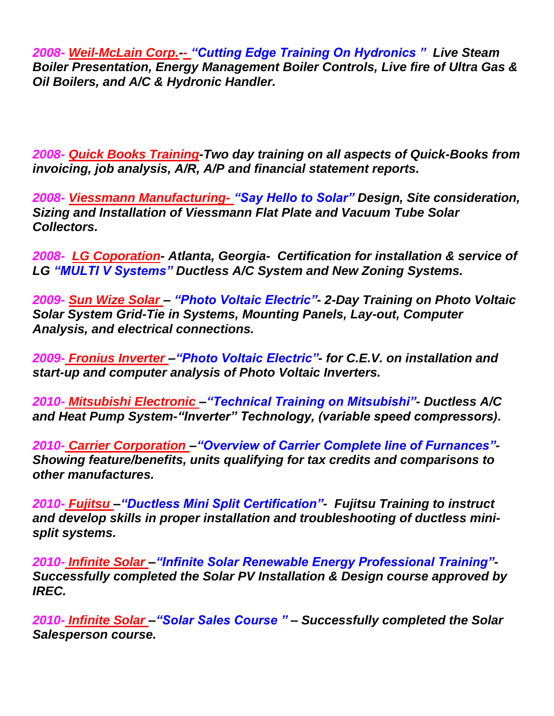*2008- Weil-McLain Corp.-- "Cutting Edge Training On Hydronics " Live Steam Boiler Presentation, Energy Management Boiler Controls, Live fire of Ultra Gas & Oil Boilers, and A/C & Hydronic Handler.* 

*2008- Quick Books Training-Two day training on all aspects of Quick-Books from invoicing, job analysis, A/R, A/P and financial statement reports.*

*2008- Viessmann Manufacturing- "Say Hello to Solar" Design, Site consideration, Sizing and Installation of Viessmann Flat Plate and Vacuum Tube Solar Collectors.* 

*2008- LG Coporation- Atlanta, Georgia- Certification for installation & service of LG "MULTI V Systems" Ductless A/C System and New Zoning Systems.*

*2009- Sun Wize Solar – "Photo Voltaic Electric"- 2-Day Training on Photo Voltaic Solar System Grid-Tie in Systems, Mounting Panels, Lay-out, Computer Analysis, and electrical connections.* 

*2009- Fronius Inverter –"Photo Voltaic Electric"- for C.E.V. on installation and start-up and computer analysis of Photo Voltaic Inverters.*

*2010- Mitsubishi Electronic –"Technical Training on Mitsubishi"- Ductless A/C and Heat Pump System-"Inverter" Technology, (variable speed compressors).*

*2010- Carrier Corporation –"Overview of Carrier Complete line of Furnances"- Showing feature/benefits, units qualifying for tax credits and comparisons to other manufactures.*

*2010- Fujitsu –"Ductless Mini Split Certification"- Fujitsu Training to instruct and develop skills in proper installation and troubleshooting of ductless minisplit systems.*

*2010- Infinite Solar –"Infinite Solar Renewable Energy Professional Training"- Successfully completed the Solar PV Installation & Design course approved by IREC.* 

*2010- Infinite Solar –"Solar Sales Course " – Successfully completed the Solar Salesperson course.*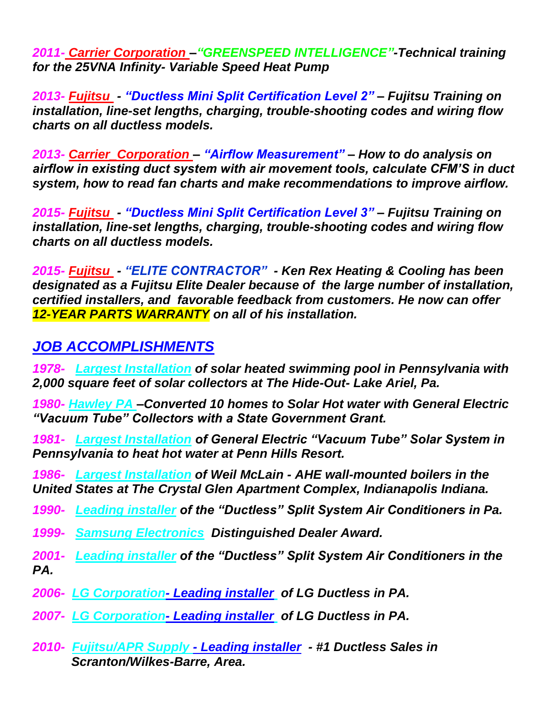*2011- Carrier Corporation –"GREENSPEED INTELLIGENCE"-Technical training for the 25VNA Infinity- Variable Speed Heat Pump*

*2013- Fujitsu - "Ductless Mini Split Certification Level 2" – Fujitsu Training on installation, line-set lengths, charging, trouble-shooting codes and wiring flow charts on all ductless models.*

*2013- Carrier\_Corporation – "Airflow Measurement" – How to do analysis on airflow in existing duct system with air movement tools, calculate CFM'S in duct system, how to read fan charts and make recommendations to improve airflow.*

*2015- Fujitsu - "Ductless Mini Split Certification Level 3" – Fujitsu Training on installation, line-set lengths, charging, trouble-shooting codes and wiring flow charts on all ductless models.*

*2015- Fujitsu - "ELITE CONTRACTOR" - Ken Rex Heating & Cooling has been designated as a Fujitsu Elite Dealer because of the large number of installation, certified installers, and favorable feedback from customers. He now can offer 12-YEAR PARTS WARRANTY on all of his installation.*

#### *JOB ACCOMPLISHMENTS*

*1978- Largest Installation of solar heated swimming pool in Pennsylvania with 2,000 square feet of solar collectors at The Hide-Out- Lake Ariel, Pa.*

*1980- Hawley PA –Converted 10 homes to Solar Hot water with General Electric "Vacuum Tube" Collectors with a State Government Grant.*

*1981- Largest Installation of General Electric "Vacuum Tube" Solar System in Pennsylvania to heat hot water at Penn Hills Resort.*

*1986- Largest Installation of Weil McLain - AHE wall-mounted boilers in the United States at The Crystal Glen Apartment Complex, Indianapolis Indiana.*

*1990- Leading installer of the "Ductless" Split System Air Conditioners in Pa.*

*1999- Samsung Electronics Distinguished Dealer Award.*

*2001- Leading installer of the "Ductless" Split System Air Conditioners in the PA.*

*2006- LG Corporation- Leading installer of LG Ductless in PA.*

*2007- LG Corporation- Leading installer of LG Ductless in PA.*

*2010- Fujitsu/APR Supply - Leading installer - #1 Ductless Sales in Scranton/Wilkes-Barre, Area.*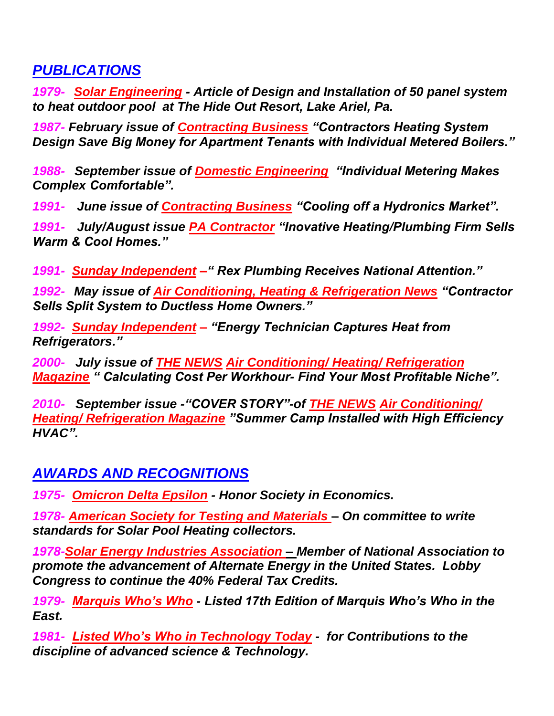### *PUBLICATIONS*

*1979- Solar Engineering - Article of Design and Installation of 50 panel system to heat outdoor pool at The Hide Out Resort, Lake Ariel, Pa.*

*1987- February issue of Contracting Business "Contractors Heating System Design Save Big Money for Apartment Tenants with Individual Metered Boilers."*

*1988- September issue of Domestic Engineering "Individual Metering Makes Complex Comfortable".* 

*1991- June issue of Contracting Business "Cooling off a Hydronics Market".*

*1991- July/August issue PA Contractor "Inovative Heating/Plumbing Firm Sells Warm & Cool Homes."*

*1991- Sunday Independent –" Rex Plumbing Receives National Attention."*

*1992- May issue of Air Conditioning, Heating & Refrigeration News "Contractor Sells Split System to Ductless Home Owners."*

*1992- Sunday Independent – "Energy Technician Captures Heat from Refrigerators."*

*2000- July issue of THE NEWS Air Conditioning/ Heating/ Refrigeration Magazine " Calculating Cost Per Workhour- Find Your Most Profitable Niche".*

*2010- September issue -"COVER STORY"-of THE NEWS Air Conditioning/ Heating/ Refrigeration Magazine "Summer Camp Installed with High Efficiency HVAC".*

## *AWARDS AND RECOGNITIONS*

*1975- Omicron Delta Epsilon - Honor Society in Economics.*

*1978- American Society for Testing and Materials – On committee to write standards for Solar Pool Heating collectors.*

*1978-Solar Energy Industries Association – Member of National Association to promote the advancement of Alternate Energy in the United States. Lobby Congress to continue the 40% Federal Tax Credits.*

*1979- Marquis Who's Who - Listed 17th Edition of Marquis Who's Who in the East.*

*1981- Listed Who's Who in Technology Today - for Contributions to the discipline of advanced science & Technology.*